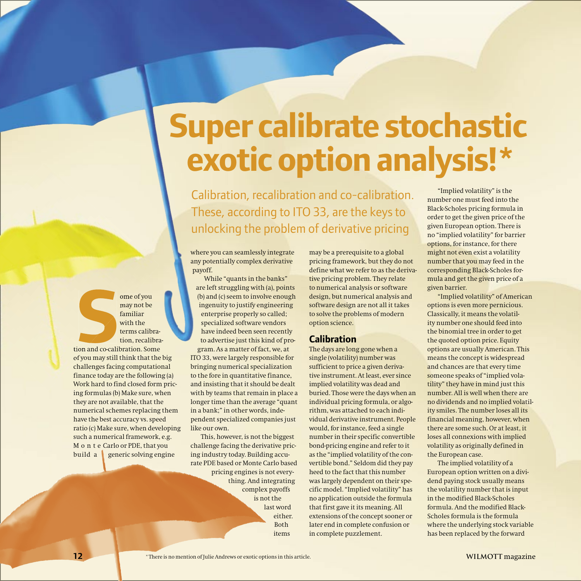# **Super calibrate stochastic exotic option analysis!\***

Calibration, recalibration and co-calibration. These, according to ITO 33, are the keys to unlocking the problem of derivative pricing

where you can seamlessly integrate any potentially complex derivative payoff.

While "quants in the banks" are left struggling with (a), points (b) and (c) seem to involve enough ingenuity to justify engineering enterprise properly so called; specialized software vendors have indeed been seen recently to advertise just this kind of program. As a matter of fact, we, at

ITO 33, were largely responsible for bringing numerical specialization to the fore in quantitative finance, and insisting that it should be dealt with by teams that remain in place a longer time than the average "quant in a bank;" in other words, independent specialized companies just like our own.

This, however, is not the biggest challenge facing the derivative pricing industry today. Building accurate PDE based or Monte Carlo based pricing engines is not everything. And integrating complex payoffs is not the last word either. Both items

may be a prerequisite to a global pricing framework, but they do not define what we refer to as the derivative pricing problem. They relate to numerical analysis or software design, but numerical analysis and software design are not all it takes to solve the problems of modern option science.

## **Calibration**

The days are long gone when a single (volatility) number was sufficient to price a given derivative instrument. At least, ever since implied volatility was dead and buried. Those were the days when an individual pricing formula, or algorithm, was attached to each individual derivative instrument. People would, for instance, feed a single number in their specific convertible bond-pricing engine and refer to it as the "implied volatility of the convertible bond." Seldom did they pay heed to the fact that this number was largely dependent on their specific model. "Implied volatility" has no application outside the formula that first gave it its meaning. All extensions of the concept sooner or later end in complete confusion or in complete puzzlement.

"Implied volatility" is the number one must feed into the Black-Scholes pricing formula in order to get the given price of the given European option. There is no "implied volatility" for barrier options, for instance, for there might not even exist a volatility number that you may feed in the corresponding Black-Scholes formula and get the given price of a given barrier.

"Implied volatility" of American options is even more pernicious. Classically, it means the volatility number one should feed into the binomial tree in order to get the quoted option price. Equity options are usually American. This means the concept is widespread and chances are that every time someone speaks of "implied volatility" they have in mind just this number. All is well when there are no dividends and no implied volatility smiles. The number loses all its financial meaning, however, when there are some such. Or at least, it loses all connexions with implied volatility as originally defined in the European case.

The implied volatility of a European option written on a dividend paying stock usually means the volatility number that is input in the modified Black-Scholes formula. And the modified Black-Scholes formula is the formula where the underlying stock variable has been replaced by the forward

**S**<br>
son and co-calif may not be familiar with the terms calibration, recalibration and co-calibration. Some of you may still think that the big challenges facing computational finance today are the following (a) Work hard to find closed form pricing formulas (b) Make sure, when they are not available, that the numerical schemes replacing them have the best accuracy vs. speed ratio (c) Make sure, when developing such a numerical framework, e.g. M o n t e Carlo or PDE, that you build a generic solving engine

ome of you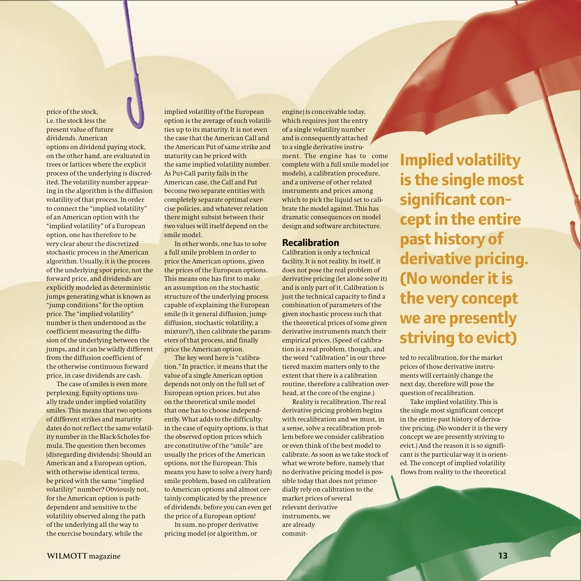price of the stock, i.e. the stock less the present value of future dividends. American options on dividend paying stock, on the other hand, are evaluated in trees or lattices where the explicit process of the underlying is discredited. The volatility number appearing in the algorithm is the diffusion volatility of that process. In order to connect the "implied volatility" of an American option with the "implied volatility" of a European option, one has therefore to be very clear about the discretized stochastic process in the American algorithm. Usually, it is the process of the underlying spot price, not the forward price, and dividends are explicitly modeled as deterministic jumps generating what is known as "jump conditions" for the option price. The "implied volatility" number is then understood as the coefficient measuring the diffusion of the underlying between the jumps, and it can be wildly different from the diffusion coefficient of the otherwise continuous forward price, in case dividends are cash.

The case of smiles is even more perplexing. Equity options usually trade under implied volatility smiles. This means that two options of different strikes and maturity dates do not reflect the same volatility number in the Black-Scholes formula. The question then becomes (disregarding dividends): Should an American and a European option, with otherwise identical terms, be priced with the same "implied volatility" number? Obviously not, for the American option is pathdependent and sensitive to the volatility observed along the path of the underlying all the way to the exercise boundary, while the

implied volatility of the European option is the average of such volatilities up to its maturity. It is not even the case that the American Call and the American Put of same strike and maturity can be priced with the same implied volatility number. As Put-Call parity fails in the American case, the Call and Put become two separate entities with completely separate optimal exercise policies, and whatever relation there might subsist between their two values will itself depend on the smile model.

In other words, one has to solve a full smile problem in order to price the American options, given the prices of the European options. This means one has first to make an assumption on the stochastic structure of the underlying process capable of explaining the European smile (Is it general diffusion, jumpdiffusion, stochastic volatility, a mixture?), then calibrate the parameters of that process, and finally price the American option.

The key word here is "calibration." In practice, it means that the value of a single American option depends not only on the full set of European option prices, but also on the theoretical smile model that one has to choose independently. What adds to the difficulty, in the case of equity options, is that the observed option prices which are constitutive of the "smile" are usually the prices of the American options, not the European. This means you have to solve a (very hard) smile problem, based on calibration to American options and almost certainly complicated by the presence of dividends, before you can even get the price of a European option!

In sum, no proper derivative pricing model (or algorithm, or

engine) is conceivable today, which requires just the entry of a single volatility number and is consequently attached to a single derivative instrument. The engine has to come complete with a full smile model (or models), a calibration procedure, and a universe of other related instruments and prices among which to pick the liquid set to calibrate the model against. This has dramatic consequences on model design and software architecture.

#### **Recalibration**

Calibration is only a technical facility. It is not reality. In itself, it does not pose the real problem of derivative pricing (let alone solve it) and is only part of it. Calibration is just the technical capacity to find a combination of parameters of the given stochastic process such that the theoretical prices of some given derivative instruments match their empirical prices. (Speed of calibration is a real problem, though, and the word "calibration" in our threetiered maxim matters only to the extent that there is a calibration routine, therefore a calibration overhead, at the core of the engine.)

Reality is recalibration. The real derivative pricing problem begins with recalibration and we must, in a sense, solve a recalibration problem before we consider calibration or even think of the best model to calibrate. As soon as we take stock of what we wrote before, namely that no derivative pricing model is possible today that does not primordially rely on calibration to the market prices of several relevant derivative instruments, we are already commit-

**Implied volatility is the single most significant concept in the entire past history of derivative pricing. (No wonder it is the very concept we are presently striving to evict)**

ted to recalibration, for the market prices of those derivative instruments will certainly change the next day, therefore will pose the question of recalibration.

Take implied volatility. This is the single most significant concept in the entire past history of derivative pricing. (No wonder it is the very concept we are presently striving to evict.) And the reason it is so significant is the particular way it is oriented. The concept of implied volatility flows from reality to the theoretical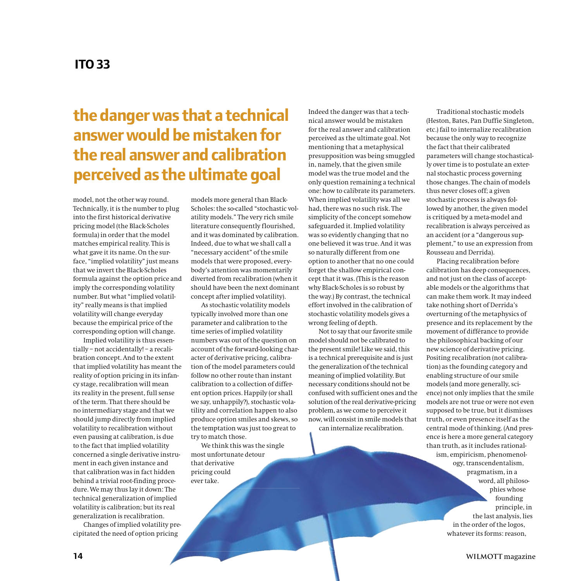# **the danger was that a technical answer would be mistaken for the real answer and calibration perceived as the ultimate goal**

model, not the other way round. Technically, it is the number to plug into the first historical derivative pricing model (the Black-Scholes formula) in order that the model matches empirical reality. This is what gave it its name. On the surface, "implied volatility" just means that we invert the Black-Scholes formula against the option price and imply the corresponding volatility number. But what "implied volatility" really means is that implied volatility will change everyday because the empirical price of the corresponding option will change.

Implied volatility is thus essentially – not accidentally! – a recalibration concept. And to the extent that implied volatility has meant the reality of option pricing in its infancy stage, recalibration will mean its reality in the present, full sense of the term. That there should be no intermediary stage and that we should jump directly from implied volatility to recalibration without even pausing at calibration, is due to the fact that implied volatility concerned a single derivative instrument in each given instance and that calibration was in fact hidden behind a trivial root-finding procedure. We may thus lay it down: The technical generalization of implied volatility is calibration; but its real generalization is recalibration.

Changes of implied volatility precipitated the need of option pricing

models more general than Black-Scholes: the so-called "stochastic volatility models." The very rich smile literature consequently flourished, and it was dominated by calibration. Indeed, due to what we shall call a "necessary accident" of the smile models that were proposed, everybody's attention was momentarily diverted from recalibration (when it should have been the next dominant concept after implied volatility).

As stochastic volatility models typically involved more than one parameter and calibration to the time series of implied volatility numbers was out of the question on account of the forward-looking character of derivative pricing, calibration of the model parameters could follow no other route than instant calibration to a collection of different option prices. Happily (or shall we say, unhappily?), stochastic volatility and correlation happen to also produce option smiles and skews, so the temptation was just too great to try to match those.

We think this was the single most unfortunate detour that derivative pricing could ever take.

Indeed the danger was that a technical answer would be mistaken for the real answer and calibration perceived as the ultimate goal. Not mentioning that a metaphysical presupposition was being smuggled in, namely, that the given smile model was the true model and the only question remaining a technical one: how to calibrate its parameters. When implied volatility was all we had, there was no such risk. The simplicity of the concept somehow safeguarded it. Implied volatility was so evidently changing that no one believed it was true. And it was so naturally different from one option to another that no one could forget the shallow empirical concept that it was. (This is the reason why Black-Scholes is so robust by the way.) By contrast, the technical effort involved in the calibration of stochastic volatility models gives a wrong feeling of depth.

Not to say that our favorite smile model should not be calibrated to the present smile! Like we said, this is a technical prerequisite and is just the generalization of the technical meaning of implied volatility. But necessary conditions should not be confused with sufficient ones and the solution of the real derivative-pricing problem, as we come to perceive it now, will consist in smile models that can internalize recalibration.

Traditional stochastic models (Heston, Bates, Pan Duffie Singleton, etc.) fail to internalize recalibration because the only way to recognize the fact that their calibrated parameters will change stochastically over time is to postulate an external stochastic process governing those changes. The chain of models thus never closes off; a given stochastic process is always followed by another, the given model is critiqued by a meta-model and recalibration is always perceived as an accident (or a "dangerous supplement," to use an expression from Rousseau and Derrida).

Placing recalibration before calibration has deep consequences, and not just on the class of acceptable models or the algorithms that can make them work. It may indeed take nothing short of Derrida's overturning of the metaphysics of presence and its replacement by the movement of différance to provide the philosophical backing of our new science of derivative pricing. Positing recalibration (not calibration) as the founding category and enabling structure of our smile models (and more generally, science) not only implies that the smile models are not true or were not even supposed to be true, but it dismisses truth, or even presence itself as the central mode of thinking. (And presence is here a more general category than truth, as it includes rational-

ism, empiricism, phenomenology, transcendentalism, pragmatism, in a word, all philosophies whose founding principle, in the last analysis, lies in the order of the logos, whatever its forms: reason,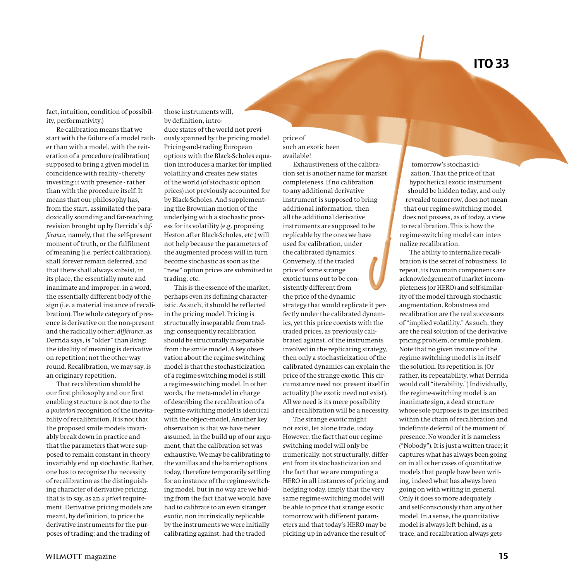fact, intuition, condition of possibility, performativity.)

Re-calibration means that we start with the failure of a model rather than with a model, with the reiteration of a procedure (calibration) supposed to bring a given model in coincidence with reality - thereby investing it with presence - rather than with the procedure itself. It means that our philosophy has, from the start, assimilated the paradoxically sounding and far-reaching revision brought up by Derrida's *différance*, namely, that the self-present moment of truth, or the fulfilment of meaning (i.e. perfect calibration), shall forever remain deferred, and that there shall always subsist, in its place, the essentially mute and inanimate and improper, in a word, the essentially different body of the sign (i.e. a material instance of recalibration). The whole category of presence is derivative on the non-present and the radically other; *différance*, as Derrida says, is "older" than *Being*; the ideality of meaning is derivative on repetition; not the other way round. Recalibration, we may say, is an originary repetition.

That recalibration should be our first philosophy and our first enabling structure is not due to the *a posteriori* recognition of the inevitability of recalibration. It is not that the proposed smile models invariably break down in practice and that the parameters that were supposed to remain constant in theory invariably end up stochastic. Rather, one has to recognize the necessity of recalibration as the distinguishing character of derivative pricing, that is to say, as an *a priori* requirement. Derivative pricing models are meant, by definition, to price the derivative instruments for the purposes of trading; and the trading of

those instruments will, by definition, introduce states of the world not previously spanned by the pricing model. Pricing-and-trading European options with the Black-Scholes equation introduces a market for implied volatility and creates new states of the world (of stochastic option prices) not previously accounted for by Black-Scholes. And supplementing the Brownian motion of the underlying with a stochastic process for its volatility (e.g. proposing Heston after Black-Scholes, etc.) will not help because the parameters of the augmented process will in turn become stochastic as soon as the "new" option prices are submitted to trading, etc.

This is the essence of the market, perhaps even its defining characteristic. As such, it should be reflected in the pricing model. Pricing is structurally inseparable from trading; consequently recalibration should be structurally inseparable from the smile model. A key observation about the regime-switching model is that the stochasticization of a regime-switching model is still a regime-switching model. In other words, the meta-model in charge of describing the recalibration of a regime-switching model is identical with the object-model. Another key observation is that we have never assumed, in the build up of our argument, that the calibration set was exhaustive. We may be calibrating to the vanillas and the barrier options today, therefore temporarily settling for an instance of the regime-switching model, but in no way are we hiding from the fact that we would have had to calibrate to an even stranger exotic, non intrinsically replicable by the instruments we were initially calibrating against, had the traded

price of such an exotic been available!

Exhaustiveness of the calibration set is another name for market completeness. If no calibration to any additional derivative instrument is supposed to bring additional information, then all the additional derivative instruments are supposed to be replicable by the ones we have used for calibration, under the calibrated dynamics. Conversely, if the traded price of some strange exotic turns out to be consistently different from the price of the dynamic strategy that would replicate it perfectly under the calibrated dynamics, yet this price coexists with the traded prices, as previously calibrated against, of the instruments involved in the replicating strategy, then only a stochasticization of the calibrated dynamics can explain the price of the strange exotic. This circumstance need not present itself in actuality (the exotic need not exist). All we need is its mere possibility and recalibration will be a necessity.

The strange exotic might not exist, let alone trade, today. However, the fact that our regimeswitching model will only be numerically, not structurally, different from its stochasticization and the fact that we are computing a HERO in all instances of pricing and hedging today, imply that the very same regime-switching model will be able to price that strange exotic tomorrow with different parameters and that today's HERO may be picking up in advance the result of

tomorrow's stochasticization. That the price of that hypothetical exotic instrument should be hidden today, and only revealed tomorrow, does not mean that our regime-switching model does not possess, as of today, a view to recalibration. This is how the regime-switching model can internalize recalibration.

The ability to internalize recalibration is the secret of robustness. To repeat, its two main components are acknowledgement of market incompleteness (or HERO) and self-similarity of the model through stochastic augmentation. Robustness and recalibration are the real successors of "implied volatility." As such, they are the real solution of the derivative pricing problem, or smile problem. Note that no given instance of the regime-switching model is in itself the solution. Its repetition is. (Or rather, its repeatability, what Derrida would call "iterability.") Individually, the regime-switching model is an inanimate sign, a dead structure whose sole purpose is to get inscribed within the chain of recalibration and indefinite deferral of the moment of presence. No wonder it is nameless ("Nobody"). It is just a written trace; it captures what has always been going on in all other cases of quantitative models that people have been writing, indeed what has always been going on with writing in general. Only it does so more adequately and self-consciously than any other model. In a sense, the quantitative model is always left behind, as a trace, and recalibration always gets